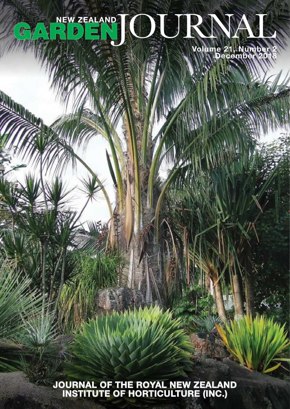## $\mathbf{A}^{\prime}$  $G$

**Volume 21, Number 2 December 2018**

**JOURNAL OF THE ROYAL NEW ZEALAND INSTITUTE OF HORTICULTURE (INC.)**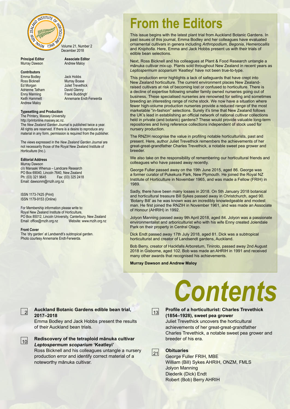

**Principal Editor**<br> **Associate Editor**<br> **Andrew Maloy** Murray Dawson

### **Contributors**

Emma Bodley<br>
Ross Ricknell<br>
Murray Boas Ed Morgan Juliet Trevethick<br>
Adrienne Tatham David Glenny Adrienne Tatham David Glenny<br>
Enny Manning Charles Frank Buddingh' Enny Manning<br>Keith Hammett Andrew Maloy

Murray Boase Annemarie Endt-Ferwerda

### **Typesetting and Production**

The Printery, Massey University http://printonline.massey.ac.nz. The *New Zealand Garden Journal* is published twice a year. All rights are reserved. If there is a desire to reproduce any material in any form, permission is required from the publisher.

The views expressed in the *New Zealand Garden Journal* are not necessarily those of the Royal New Zealand Institute of Horticulture (Inc.).

### **Editorial Address**

Murray Dawson c/o Manaaki Whenua – Landcare Research PO Box 69040, Lincoln 7640, New Zealand<br>Ph: (03) 321 9645 Fax: (03) 325 241 Fax: (03) 325 2418 Email: dawsonm@rnzih.org.nz

ISSN 1173-7425 (Print) ISSN 1179-9153 (Online)

For Membership information please write to: Royal New Zealand Institute of Horticulture, PO Box 85012, Lincoln University, Canterbury, New Zealand<br>Email: office@rnzih.org.nz Website: www.rnzih.org.nz Email: office@rnzih.org.nz

#### **Front Cover**

2

The 'dry garden' at Landsendt's subtropical garden. Photo courtesy Annemarie Endt-Ferwerda.

## **From the Editors**

This issue begins with the latest plant trial from Auckland Botanic Gardens. In past issues of this journal, Emma Bodley and her colleagues have evaluated ornamental cultivars in genera including *Arthropodium*, *Begonia*, *Hemerocallis* and *Kniphofia*. Here, Emma and Jack Hobbs present us with their trials of edible bean selections.

Next, Ross Bicknell and his colleagues at Plant & Food Research untangle a mānuka cultivar mix-up. Plants sold throughout New Zealand in recent years as *Leptospermum scoparium* 'Keatleyi' have not been true-to-type.

This production error highlights a lack of safeguards that have crept into New Zealand horticulture. The current environment places New Zealandraised cultivars at risk of becoming lost or confused to horticulture. There is a decline of expertise following smaller family owned nurseries going out of business. These specialised nurseries are renowned for selling and sometimes breeding an interesting range of niche stock. We now have a situation where fewer high-volume production nurseries provide a reduced range of the most marketable "in-fashion" selections. Surely it's time that New Zealand follows the UK's lead in establishing an official network of national cultivar collections held in private (and botanic) gardens? These would provide valuable long-term repositories and living reference collections independent of stock used for nursery production.

The RNZIH recognise the value in profiling notable horticulturists, past and present. Here, author Juliet Trevethick remembers the achievements of her great-great-grandfather Charles Trevethick, a notable sweet pea grower and breeder.

We also take on the responsibility of remembering our horticultural friends and colleagues who have passed away recently.

George Fuller passed away on the 19th June 2015, aged 86. George was a former curator of Pukekura Park, New Plymouth. He joined the Royal NZ Institute of Horticulture in November 1965, and was made a Fellow (FRIH) in 1989.

Sadly, there have been many losses in 2018. On 5th January 2018 botanical and horticultural treasure Bill Sykes passed away in Christchurch, aged 90. 'Botany Bill' as he was known was an incredibly knowledgeable and modest man. He first joined the RNZIH in November 1961, and was made an Associate of Honour (AHRIH) in 1992.

Jolyon Manning passed away 9th April 2018, aged 84. Jolyon was a passionate environmentalist and arboriculturist who with his wife Enny created Jolendale Park on their property in Central Otago.

Dick Endt passed away 17th July 2018, aged 81. Dick was a subtropical horticulturist and creator of Landsendt gardens, Auckland.

Bob Berry, creator of Hackfalls Arboretum, Tiniroto, passed away 2nd August 2018 in Gisborne, aged 102. Bob was made an AHRIH in 1991 and received many other awards that recognised his achievements.

**Murray Dawson and Andrew Maloy**

### **Auckland Botanic Gardens edible bean trial, 2017–2018**

Emma Bodley and Jack Hobbs present the results of their Auckland bean trials.

**Rediscovery of the tetraploid mānuka cultivar**  *Leptospermum scoparium* **'Keatleyi'**  $|10|$ 

Ross Bicknell and his colleagues untangle a nursery production error and identify correct material of a noteworthy mānuka cultivar.

# *Contents*



### **Profile of a horticulturist: Charles Trevethick (1854–1928), sweet pea grower**

Juliet Trevethick uncovers the horticultural achievements of her great-great-grandfather Charles Trevethick, a notable sweet pea grower and breeder of his era.

 $|21|$ 

### **Obituaries**

George Fuller FRIH, MBE William (Bill) Sykes AHRIH, ONZM, FMLS Jolyon Manning Diederik (Dick) Endt Robert (Bob) Berry AHRIH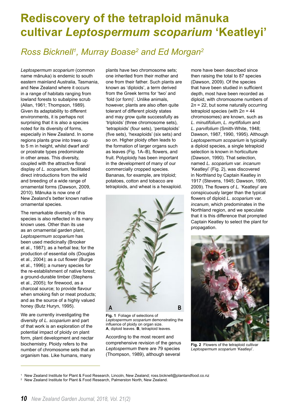## **Rediscovery of the tetraploid mānuka cultivar** *Leptospermum scoparium* **'Keatleyi'**

### *Ross Bicknell1 , Murray Boase2 and Ed Morgan2*

*Leptospermum scoparium* (common name mānuka) is endemic to south eastern mainland Australia, Tasmania, and New Zealand where it occurs in a range of habitats ranging from lowland forests to subalpine scrub (Allan, 1961; Thompson, 1989). Given its adaptability to different environments, it is perhaps not surprising that it is also a species noted for its diversity of forms, especially in New Zealand. In some regions plants grow into trees up to 5 m in height, whilst dwarf and/ or prostrate types predominate in other areas. This diversity, coupled with the attractive floral display of *L. scoparium*, facilitated direct introductions from the wild and breeding of a wide range of ornamental forms (Dawson, 2009, 2010). Mānuka is now one of New Zealand's better known native ornamental species.

The remarkable diversity of this species is also reflected in its many known uses. Other than its use as an ornamental garden plant, *Leptospermum scoparium* has been used medicinally (Brooker et al., 1987); as a herbal tea; for the production of essential oils (Douglas et al., 2004); as a cut flower (Burge et al., 1996); a nursery species for the re-establishment of native forest; a ground-durable timber (Stephens et al., 2005); for firewood, as a charcoal source; to provide flavour when smoking fish or meat products; and as the source of a highly valued honey (Butz Huryn, 1995).

We are currently investigating the diversity of *L. scoparium* and part of that work is an exploration of the potential impact of ploidy on plant form, plant development and nectar biochemistry. Ploidy refers to the number of chromosome sets that an organism has. Like humans, many

plants have two chromosome sets; one inherited from their mother and one from their father. Such plants are known as 'diploids', a term derived from the Greek terms for 'two' and 'fold (or form)'. Unlike animals, however, plants are also often quite tolerant of different ploidy states and may grow quite successfully as 'triploids' (three chromosome sets), 'tetraploids' (four sets), 'pentaploids' (five sets), 'hexaploids' (six sets) and so on. Higher ploidy often leads to the formation of larger organs such as leaves (Fig. 1A–B), flowers, and fruit. Polyploidy has been important in the development of many of our commercially cropped species. Bananas, for example, are triploid; potatoes, cotton and tobacco are tetraploids, and wheat is a hexaploid.



**Fig. 1** Foliage of selections of *Leptospermum scoparium* demonstrating the influence of ploidy on organ size. **A**, diploid leaves. **B**, tetraploid leaves.

According to the most recent and comprehensive revision of the genus *Leptospermum* there are 79 species (Thompson, 1989), although several

more have been described since then raising the total to 87 species (Dawson, 2009). Of the species that have been studied in sufficient depth, most have been recorded as diploid, with chromosome numbers of 2*n* = 22, but some naturally occurring tetraploid species (with 2*n* = 44 chromosomes) are known, such as *L. minutifolium*, *L. myrtifolium* and *L. parvifolium* (Smith-White, 1948; Dawson, 1987, 1990, 1995). Although *Leptospermum scoparium* is typically a diploid species, a single tetraploid selection is known in horticulture (Dawson, 1990). That selection, named *L. scoparium* var. *incanum* 'Keatleyi' (Fig. 2), was discovered in Northland by Captain Keatley in 1917 (Stevens, 1945; Dawson, 1990, 2009). The flowers of *L.* 'Keatleyi' are conspicuously larger than the typical flowers of diploid *L. scoparium* var. *incanum*, which predominates in the Northland region, and we speculate that it is this difference that prompted Captain Keatley to select the plant for propagation.



**Fig. 2** Flowers of the tetraploid cultivar *Leptospermum scoparium* 'Keatleyi'.

<sup>1</sup> New Zealand Institute for Plant & Food Research, Lincoln, New Zealand; ross.bicknell@plantandfood.co.nz

<sup>2</sup> New Zealand Institute for Plant & Food Research, Palmerston North, New Zealand.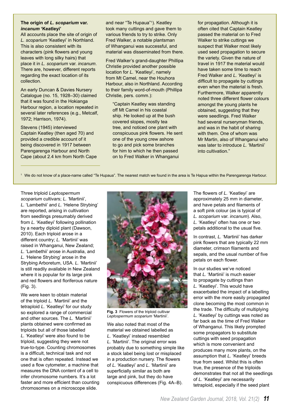### **The origin of** *L. scoparium* **var.**  *incanum* **'Keatleyi'**

All accounts place the site of origin of *L. scoparium* 'Keatleyi' in Northland. This is also consistent with its characters (pink flowers and young leaves with long silky hairs) that place it in *L. scoparium* var. *incanum*. There are, however, different reports regarding the exact location of its collection.

An early Duncan & Davies Nursery Catalogue (no. 15, 1928–30) claimed that it was found in the Hokianga Harbour region, a location repeated in several later references (e.g., Metcalf, 1972; Harrison, 1974).

Stevens (1945) interviewed Captain Keatley (then aged 70) and provided a credible account of it being discovered in 1917 between Parengarenga Harbour and North Cape (about 2.4 km from North Cape

and near "Te Hupaua"<sup>1</sup> ). Keatley took many cuttings and gave them to various friends to try to strike. Only Fred Walker, a notable plantsman of Whanganui was successful, and material was disseminated from there.

Fred Walker's grand-daughter Phillipa Christie provided another possible location for *L.* 'Keatleyi', namely from Mt Camel, near the Houhora Harbour, also in Northland. According to their family word-of-mouth (Phillipa Christie, pers. comm.):

"Captain Keatley was standing off Mt Camel in his coastal ship. He looked up at the bush covered slopes, mostly tea tree, and noticed one plant with conspicuous pink flowers. He sent one of the young crew ashore to go and pick some branches for him to which he then passed on to Fred Walker in Whanganui

for propagation. Although it is often cited that Captain Keatley passed the material on to Fred Walker to strike cuttings we suspect that Walker most likely used seed propagation to secure the variety. Given the nature of travel in 1917 the material would have taken some time to reach Fred Walker and *L.* 'Keatleyi' is difficult to propagate by cuttings even when the material is fresh. Furthermore, Walker apparently noted three different flower colours amongst the young plants he obtained, suggesting that they were seedlings. Fred Walker had several nurseryman friends, and was in the habit of sharing with them. One of whom was Mr Martin, also of Whanganui who was later to introduce *L.* 'Martinii' into cultivation."

<sup>1</sup>We do not know of a place-name called "Te Hupaua". The nearest match we found in the area is Te Hapua within the Parengarenga Harbour.

Three triploid *Leptospermum scoparium* cultivars; *L.* 'Martinii', *L.* 'Lambethii' and *L.* 'Helene Strybing' are reported, arising in cultivation from seedlings presumably derived from *L.* 'Keatleyi' following pollination by a nearby diploid plant (Dawson, 2010). Each triploid arose in a different country; *L.* 'Martinii' was raised in Whanganui, New Zealand; *L.* 'Lambethii' arose in Australia, and *L. '*Helene Strybing' arose in the Strybing Arboretum, USA. *L.* 'Martinii' is still readily available in New Zealand where it is popular for its large pink and red flowers and floriferous nature (Fig. 3).

We were keen to obtain material of the triploid *L. '*Martinii' and the tetraploid *L.* 'Keatleyi' for our study so explored a range of commercial and other sources. The *L. '*Martinii' plants obtained were confirmed as triploids but all of those labelled *L.* 'Keatleyi' were also found to be triploid, suggesting they were not true-to-type. Counting chromosomes is a difficult, technical task and not one that is often repeated. Instead we used a flow cytometer, a machine that measures the DNA content of a cell to infer chromosome numbers. It's a lot faster and more efficient than counting chromosomes on a microscope slide.



**Fig. 3** Flowers of the triploid cultivar *Leptospermum scoparium* 'Martinii'.

We also noted that most of the material we obtained labelled as *L.* 'Keatleyi' instead resembled *L.* 'Martinii'. The original error was probably due to something simple like a stock label being lost or misplaced in a production nursery. The flowers of *L.* 'Keatleyi' and *L.* 'Martinii' are superficially similar as both are large and pink, but they do have conspicuous differences (Fig. 4A–B).

The flowers of *L.* 'Keatleyi' are approximately 25 mm in diameter, and have petals and filaments of a soft pink colour (as is typical of *L. scoparium* var. *incanum*). Also, *L.* 'Keatleyi' often has one or two petals additional to the usual five.

In contrast, *L.* 'Martinii' has darker pink flowers that are typically 22 mm diameter, crimson filaments and sepals, and the usual number of five petals on each flower.

In our studies we've noticed that *L.* 'Martinii' is much easier to propagate by cuttings than *L.* 'Keatleyi'. This would have exacerbated the impact of a labelling error with the more easily propagated clone becoming the most common in the trade. The difficulty of multiplying *L.* 'Keatleyi' by cuttings was noted as far back as the time of Fred Walker of Whanganui. This likely prompted some propagators to substitute cuttings with seed propagation which is more convenient and produces many more plants, on the assumption that *L.* 'Keatleyi' breeds true from seed. Whilst this is often true, the presence of the triploids demonstrates that not all the seedlings of *L.* 'Keatleyi' are necessarily tetraploid, especially if the seed plant